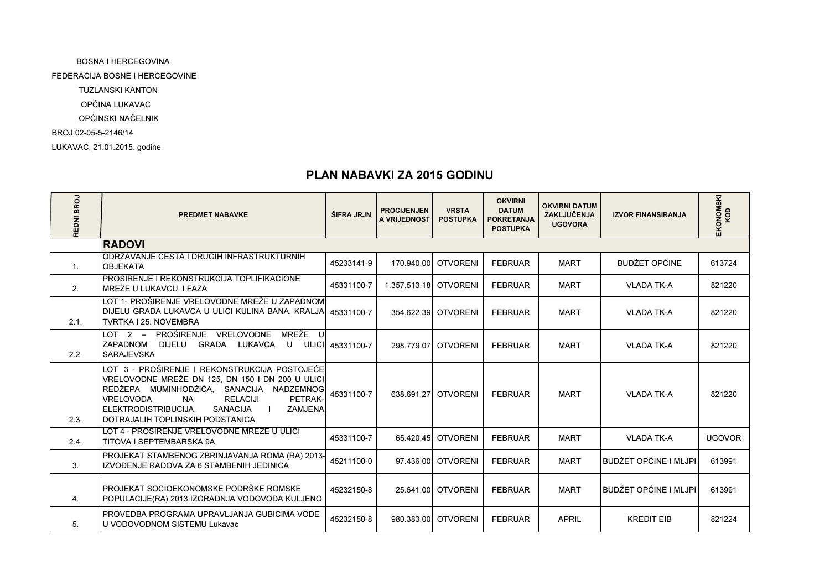LUKAVAC, 21.01.2015. godine BOSNA I HERCEGOVINA FEDERACIJA BOSNE I HERCEGOVINE TUZLANSKI KANTON OPĆINA LUKAVAC OPĆINSKI NAČELNIKBROJ:02-05-5-2146/14

## PLAN NABAVKI ZA 2015 GODINU

| REDNI BROJ | <b>PREDMET NABAVKE</b>                                                                                                                                                                                                                                                                                                 | ŠIFRA JRJN       | <b>PROCIJENJEN</b><br>A VRIJEDNOST | <b>VRSTA</b><br><b>POSTUPKA</b> | <b>OKVIRNI</b><br><b>DATUM</b><br><b>POKRETANJA</b><br><b>POSTUPKA</b> | <b>OKVIRNI DATUM</b><br>ZAKLJUČENJA<br><b>UGOVORA</b> | <b>IZVOR FINANSIRANJA</b>    | EKONOMSKI<br>KOD |
|------------|------------------------------------------------------------------------------------------------------------------------------------------------------------------------------------------------------------------------------------------------------------------------------------------------------------------------|------------------|------------------------------------|---------------------------------|------------------------------------------------------------------------|-------------------------------------------------------|------------------------------|------------------|
|            | <b>RADOVI</b>                                                                                                                                                                                                                                                                                                          |                  |                                    |                                 |                                                                        |                                                       |                              |                  |
| 1.         | IODRŽAVANJE CESTA I DRUGIH INFRASTRUKTURNIH<br><b>OBJEKATA</b>                                                                                                                                                                                                                                                         | 45233141-9       |                                    | 170.940.00 OTVORENI             | <b>FEBRUAR</b>                                                         | <b>MART</b>                                           | <b>BUDŽET OPĆINE</b>         | 613724           |
| 2.         | IPROŠIRENJE I REKONSTRUKCIJA TOPLIFIKACIONE<br>MREŽE U LUKAVCU, I FAZA                                                                                                                                                                                                                                                 | 45331100-7       | 1.357.513.18 OTVORENI              |                                 | <b>FEBRUAR</b>                                                         | <b>MART</b>                                           | <b>VLADA TK-A</b>            | 821220           |
| 2.1.       | LOT 1- PROŠIRENJE VRELOVODNE MREŽE U ZAPADNOM<br>DIJELU GRADA LUKAVCA U ULICI KULINA BANA, KRALJA 45331100-7<br>TVRTKA I 25. NOVEMBRA                                                                                                                                                                                  |                  |                                    | 354.622.39 OTVORENI             | <b>FEBRUAR</b>                                                         | <b>MART</b>                                           | <b>VLADA TK-A</b>            | 821220           |
| 2.2.       | MREŽE<br>LOT 2 – PROŠIRENJE<br>VRELOVODNE<br>Ш<br><b>ZAPADNOM</b><br>DIJELU GRADA LUKAVCA<br>U<br><b>SARAJEVSKA</b>                                                                                                                                                                                                    | ULICI 45331100-7 | 298.779.07                         | <b>OTVORENI</b>                 | <b>FEBRUAR</b>                                                         | <b>MART</b>                                           | <b>VLADA TK-A</b>            | 821220           |
| 2.3.       | LOT 3 - PROŠIRENJE I REKONSTRUKCIJA POSTOJEĆE<br>VRELOVODNE MREŽE DN 125, DN 150 I DN 200 U ULICI<br>REDŽEPA MUMINHODŽIĆA, SANACIJA NADZEMNOG<br><b>VRELOVODA</b><br><b>RELACIJI</b><br>PETRAK-<br><b>NA</b><br><b>IELEKTRODISTRIBUCIJA.</b><br><b>ZAMJENA</b><br>SANACIJA<br><b>IDOTRAJALIH TOPLINSKIH PODSTANICA</b> | 45331100-7       | 638.691.27                         | <b>OTVORENI</b>                 | <b>FEBRUAR</b>                                                         | <b>MART</b>                                           | <b>VLADA TK-A</b>            | 821220           |
| 2.4.       | LOT 4 - PROŠIRENJE VRELOVODNE MREŽE U ULICI<br>TITOVA I SEPTEMBARSKA 9A.                                                                                                                                                                                                                                               | 45331100-7       | 65.420.45                          | <b>OTVORENI</b>                 | <b>FEBRUAR</b>                                                         | <b>MART</b>                                           | <b>VLADA TK-A</b>            | <b>UGOVOR</b>    |
| 3.         | PROJEKAT STAMBENOG ZBRINJAVANJA ROMA (RA) 2013-<br>IZVOĐENJE RADOVA ZA 6 STAMBENIH JEDINICA                                                                                                                                                                                                                            | 45211100-0       |                                    | 97.436.00 OTVORENI              | <b>FEBRUAR</b>                                                         | <b>MART</b>                                           | <b>BUDŽET OPĆINE I MLJPI</b> | 613991           |
| 4.         | IPROJEKAT SOCIOEKONOMSKE PODRŠKE ROMSKE<br>POPULACIJE(RA) 2013 IZGRADNJA VODOVODA KULJENO                                                                                                                                                                                                                              | 45232150-8       |                                    | 25.641,00 OTVORENI              | <b>FEBRUAR</b>                                                         | <b>MART</b>                                           | <b>BUDŽET OPĆINE I MLJPI</b> | 613991           |
| 5.         | IPROVEDBA PROGRAMA UPRAVLJANJA GUBICIMA VODE<br>U VODOVODNOM SISTEMU Lukavac                                                                                                                                                                                                                                           | 45232150-8       |                                    | 980.383.00 OTVORENI             | <b>FEBRUAR</b>                                                         | <b>APRIL</b>                                          | <b>KREDIT EIB</b>            | 821224           |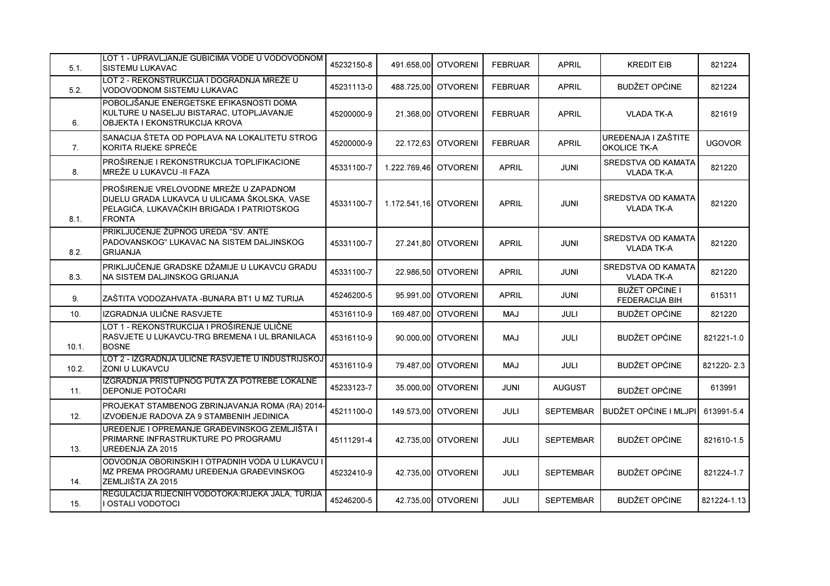| 5.1.  | LOT 1 - UPRAVLJANJE GUBICIMA VODE U VODOVODNOM<br><b>SISTEMU LUKAVAC</b>                                                                              | 45232150-8 |                       | 491.658.00 OTVORENI   | <b>FEBRUAR</b> | <b>APRIL</b>     | <b>KREDIT EIB</b>                              | 821224        |
|-------|-------------------------------------------------------------------------------------------------------------------------------------------------------|------------|-----------------------|-----------------------|----------------|------------------|------------------------------------------------|---------------|
| 5.2.  | LOT 2 - REKONSTRUKCIJA I DOGRADNJA MREŽE U<br>VODOVODNOM SISTEMU LUKAVAC                                                                              | 45231113-0 |                       | 488.725.00 OTVORENI   | <b>FEBRUAR</b> | <b>APRIL</b>     | <b>BUDŽET OPĆINE</b>                           | 821224        |
| 6.    | POBOLJŠANJE ENERGETSKE EFIKASNOSTI DOMA<br>KULTURE U NASELJU BISTARAC, UTOPLJAVANJE<br><b>OBJEKTA I EKONSTRUKCIJA KROVA</b>                           | 45200000-9 |                       | 21.368.00 OTVORENI    | <b>FEBRUAR</b> | <b>APRIL</b>     | <b>VLADA TK-A</b>                              | 821619        |
| 7.    | SANACIJA ŠTETA OD POPLAVA NA LOKALITETU STROG<br>KORITA RIJEKE SPREČE                                                                                 | 45200000-9 |                       | 22.172,63 OTVORENI    | <b>FEBRUAR</b> | <b>APRIL</b>     | UREĐENAJA I ZAŠTITE<br><b>OKOLICE TK-A</b>     | <b>UGOVOR</b> |
| 8.    | PROŠIRENJE I REKONSTRUKCIJA TOPLIFIKACIONE<br>IMREŽE U LUKAVCU -II FAZA                                                                               | 45331100-7 |                       | 1.222.769.46 OTVORENI | <b>APRIL</b>   | JUNI             | SREDSTVA OD KAMATA<br><b>VLADA TK-A</b>        | 821220        |
| 8.1.  | PROŠIRENJE VRELOVODNE MREŽE U ZAPADNOM<br>DIJELU GRADA LUKAVCA U ULICAMA ŠKOLSKA, VASE<br>PELAGIĆA, LUKAVAČKIH BRIGADA I PATRIOTSKOG<br><b>FRONTA</b> | 45331100-7 | 1.172.541.16 OTVORENI |                       | <b>APRIL</b>   | <b>JUNI</b>      | SREDSTVA OD KAMATA<br><b>VLADA TK-A</b>        | 821220        |
| 8.2.  | PRIKLJUČENJE ŽUPNOG UREDA "SV. ANTE<br>PADOVANSKOG" LUKAVAC NA SISTEM DALJINSKOG<br><b>GRIJANJA</b>                                                   | 45331100-7 |                       | 27.241.80 OTVORENI    | <b>APRIL</b>   | <b>JUNI</b>      | <b>SREDSTVA OD KAMATA</b><br><b>VLADA TK-A</b> | 821220        |
| 8.3.  | PRIKLJUČENJE GRADSKE DŽAMIJE U LUKAVCU GRADU<br>NA SISTEM DALJINSKOG GRIJANJA                                                                         | 45331100-7 |                       | 22.986.50 OTVORENI    | <b>APRIL</b>   | JUNI             | SREDSTVA OD KAMATA<br><b>VLADA TK-A</b>        | 821220        |
| 9.    | ZAŠTITA VODOZAHVATA -BUNARA BT1 U MZ TURIJA                                                                                                           | 45246200-5 |                       | 95.991,00 OTVORENI    | <b>APRIL</b>   | JUNI             | <b>BUŽET OPĆINE I</b><br>FEDERACIJA BIH        | 615311        |
| 10.   | IZGRADNJA ULIČNE RASVJETE                                                                                                                             | 45316110-9 |                       | 169.487,00 OTVORENI   | <b>LAM</b>     | JULI             | <b>BUDŽET OPĆINE</b>                           | 821220        |
| 10.1. | LOT 1 - REKONSTRUKCIJA I PROŠIRENJE ULIČNE<br>RASVJETE U LUKAVCU-TRG BREMENA I UL.BRANILACA<br><b>BOSNE</b>                                           | 45316110-9 |                       | 90.000.00 OTVORENI    | <b>LAM</b>     | <b>JULI</b>      | <b>BUDŽET OPĆINE</b>                           | 821221-1.0    |
| 10.2. | LOT 2 - IZGRADNJA ULIČNE RASVJETE U INDUSTRIJSKOJ<br><b>ZONI U LUKAVCU</b>                                                                            | 45316110-9 |                       | 79.487,00 OTVORENI    | <b>LAM</b>     | JULI             | <b>BUDŽET OPĆINE</b>                           | 821220-2.3    |
| 11.   | IZGRADNJA PRISTUPNOG PUTA ZA POTREBE LOKALNE<br><b>DEPONIJE POTOČARI</b>                                                                              | 45233123-7 |                       | 35.000,00 OTVORENI    | <b>JUNI</b>    | <b>AUGUST</b>    | <b>BUDŽET OPĆINE</b>                           | 613991        |
| 12.   | PROJEKAT STAMBENOG ZBRINJAVANJA ROMA (RA) 2014-<br>IZVOĐENJE RADOVA ZA 9 STAMBENIH JEDINICA                                                           | 45211100-0 |                       | 149.573,00 OTVORENI   | JULI           | <b>SEPTEMBAR</b> | <b>BUDŽET OPĆINE I MLJPI</b>                   | 613991-5.4    |
| 13.   | UREĐENJE I OPREMANJE GRAĐEVINSKOG ZEMLJIŠTA I<br>PRIMARNE INFRASTRUKTURE PO PROGRAMU<br>UREĐENJA ZA 2015                                              | 45111291-4 |                       | 42.735.00 OTVORENI    | <b>JULI</b>    | <b>SEPTEMBAR</b> | <b>BUDŽET OPĆINE</b>                           | 821610-1.5    |
| 14.   | ODVODNJA OBORINSKIH I OTPADNIH VODA U LUKAVCU I<br>MZ PREMA PROGRAMU UREĐENJA GRAĐEVINSKOG<br>ZEMLJIŠTA ZA 2015                                       | 45232410-9 |                       | 42.735,00 OTVORENI    | JULI           | <b>SEPTEMBAR</b> | <b>BUDŽET OPĆINE</b>                           | 821224-1.7    |
| 15.   | REGULACIJA RIJEČNIH VODOTOKA: RIJEKA JALA, TURIJA<br>I OSTALI VODOTOCI                                                                                | 45246200-5 |                       | 42.735,00 OTVORENI    | JULI           | <b>SEPTEMBAR</b> | <b>BUDŽET OPĆINE</b>                           | 821224-1.13   |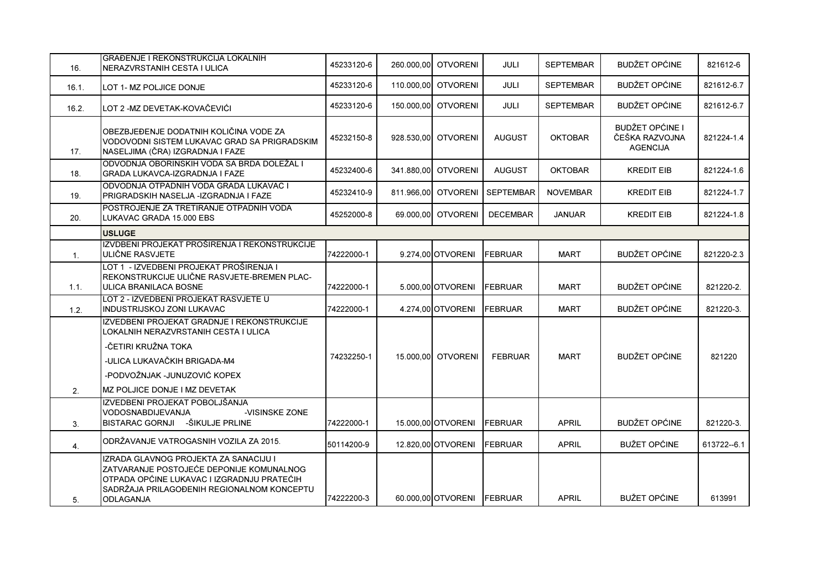| 16.            | IGRAĐENJE I REKONSTRUKCIJA LOKALNIH<br>NERAZVRSTANIH CESTA I ULICA                                                                                                                                           | 45233120-6 | 260.000,00 OTVORENI | <b>JULI</b>      | <b>SEPTEMBAR</b> | <b>BUDŽET OPĆINE</b>                                        | 821612-6    |
|----------------|--------------------------------------------------------------------------------------------------------------------------------------------------------------------------------------------------------------|------------|---------------------|------------------|------------------|-------------------------------------------------------------|-------------|
| 16.1.          | LOT 1- MZ POLJICE DONJE                                                                                                                                                                                      | 45233120-6 | 110,000.00 OTVORENI | <b>JULI</b>      | <b>SEPTEMBAR</b> | <b>BUDŽET OPĆINE</b>                                        | 821612-6.7  |
| 16.2.          | LOT 2 -MZ DEVETAK-KOVAČEVIĆI                                                                                                                                                                                 | 45233120-6 | 150,000,00 OTVORENI | JULI             | <b>SEPTEMBAR</b> | <b>BUDŽET OPĆINE</b>                                        | 821612-6.7  |
| 17.            | OBEZBJEĐENJE DODATNIH KOLIČINA VODE ZA<br>VODOVODNI SISTEM LUKAVAC GRAD SA PRIGRADSKIM<br>NASELJIMA (ČRA) IZGRADNJA I FAZE                                                                                   | 45232150-8 | 928.530,00 OTVORENI | <b>AUGUST</b>    | <b>OKTOBAR</b>   | <b>BUDŽET OPĆINE I</b><br>ČEŠKA RAZVOJNA<br><b>AGENCIJA</b> | 821224-1.4  |
| 18.            | ODVODNJA OBORINSKIH VODA SA BRDA DOLEŽAL I<br><b>GRADA LUKAVCA-IZGRADNJA I FAZE</b>                                                                                                                          | 45232400-6 | 341.880,00 OTVORENI | <b>AUGUST</b>    | <b>OKTOBAR</b>   | <b>KREDIT EIB</b>                                           | 821224-1.6  |
| 19.            | IODVODNJA OTPADNIH VODA GRADA LUKAVAC I<br>PRIGRADSKIH NASELJA -IZGRADNJA I FAZE                                                                                                                             | 45232410-9 | 811.966,00 OTVORENI | <b>SEPTEMBAR</b> | <b>NOVEMBAR</b>  | <b>KREDIT EIB</b>                                           | 821224-1.7  |
| 20.            | POSTROJENJE ZA TRETIRANJE OTPADNIH VODA<br>LUKAVAC GRADA 15.000 EBS                                                                                                                                          | 45252000-8 | 69.000,00 OTVORENI  | <b>DECEMBAR</b>  | <b>JANUAR</b>    | <b>KREDIT EIB</b>                                           | 821224-1.8  |
|                | <b>USLUGE</b>                                                                                                                                                                                                |            |                     |                  |                  |                                                             |             |
| 1 <sub>1</sub> | IZVDBENI PROJEKAT PROŠIRENJA I REKONSTRUKCIJE<br>ULIČNE RASVJETE                                                                                                                                             | 74222000-1 | 9.274,00 OTVORENI   | FEBRUAR          | <b>MART</b>      | <b>BUDŽET OPĆINE</b>                                        | 821220-2.3  |
| 1.1.           | LOT 1 - IZVEDBENI PROJEKAT PROŠIRENJA I<br>REKONSTRUKCIJE ULIČNE RASVJETE-BREMEN PLAC-<br>ULICA BRANILACA BOSNE                                                                                              | 74222000-1 | 5.000.00 OTVORENI   | FEBRUAR          | <b>MART</b>      | <b>BUDŽET OPĆINE</b>                                        | 821220-2.   |
| 1.2.           | LOT 2 - IZVEDBENI PROJEKAT RASVJETE U<br><b>INDUSTRIJSKOJ ZONI LUKAVAC</b>                                                                                                                                   | 74222000-1 | 4.274,00 OTVORENI   | <b>FEBRUAR</b>   | <b>MART</b>      | <b>BUDŽET OPĆINE</b>                                        | 821220-3.   |
| 2.             | IZVEDBENI PROJEKAT GRADNJE I REKONSTRUKCIJE<br>LOKALNIH NERAZVRSTANIH CESTA I ULICA<br>-ČETIRI KRUŽNA TOKA<br>-ULICA LUKAVAČKIH BRIGADA-M4<br>-PODVOŽNJAK -JUNUZOVIĆ KOPEX<br>IMZ POLJICE DONJE I MZ DEVETAK | 74232250-1 | 15.000,00 OTVORENI  | <b>FEBRUAR</b>   | <b>MART</b>      | <b>BUDŽET OPĆINE</b>                                        | 821220      |
| 3.             | IZVEDBENI PROJEKAT POBOLJŠANJA<br><b>VODOSNABDIJEVANJA</b><br>-VISINSKE ZONE<br>BISTARAC GORNJI - ŠIKULJE PRLINE                                                                                             | 74222000-1 | 15.000,00 OTVORENI  | <b>FEBRUAR</b>   | <b>APRIL</b>     | <b>BUDŽET OPĆINE</b>                                        | 821220-3.   |
| 4.             | ODRŽAVANJE VATROGASNIH VOZILA ZA 2015.                                                                                                                                                                       | 50114200-9 | 12.820.00 OTVORENI  | FEBRUAR          | <b>APRIL</b>     | <b>BUŽET OPĆINE</b>                                         | 613722--6.1 |
| 5.             | IZRADA GLAVNOG PROJEKTA ZA SANACIJU I<br>ZATVARANJE POSTOJEĆE DEPONIJE KOMUNALNOG<br>OTPADA OPĆINE LUKAVAC I IZGRADNJU PRATEĆIH<br>SADRŽAJA PRILAGOĐENIH REGIONALNOM KONCEPTU<br>ODLAGANJA                   | 74222200-3 | 60.000,00 OTVORENI  | <b>FEBRUAR</b>   | <b>APRIL</b>     | <b>BUŽET OPĆINE</b>                                         | 613991      |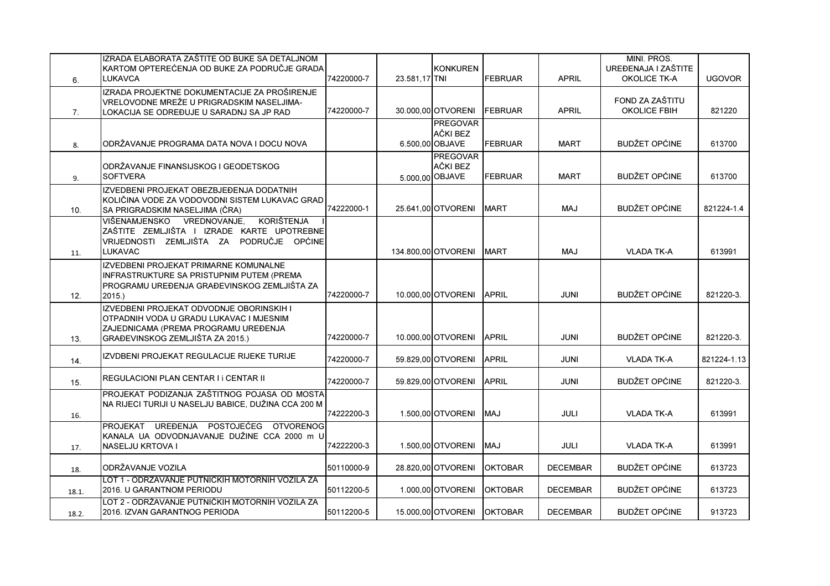|       | IZRADA ELABORATA ZAŠTITE OD BUKE SA DETALJNOM<br>KARTOM OPTEREĆENJA OD BUKE ZA PODRUČJE GRADA                                                                   |            |               | <b>KONKUREN</b>                                |                |                 | MINI. PROS.<br>UREĐENAJA I ZAŠTITE     |               |
|-------|-----------------------------------------------------------------------------------------------------------------------------------------------------------------|------------|---------------|------------------------------------------------|----------------|-----------------|----------------------------------------|---------------|
| 6.    | <b>LUKAVCA</b>                                                                                                                                                  | 74220000-7 | 23.581,17 TNI |                                                | <b>FEBRUAR</b> | <b>APRIL</b>    | <b>OKOLICE TK-A</b>                    | <b>UGOVOR</b> |
| 7.    | IZRADA PROJEKTNE DOKUMENTACIJE ZA PROŠIRENJE<br>VRELOVODNE MREŽE U PRIGRADSKIM NASELJIMA-<br>LOKACIJA SE ODREĐUJE U SARADNJ SA JP RAD                           | 74220000-7 |               | 30.000,00 OTVORENI                             | <b>FEBRUAR</b> | <b>APRIL</b>    | FOND ZA ZAŠTITU<br><b>OKOLICE FBIH</b> | 821220        |
| 8.    | ODRŽAVANJE PROGRAMA DATA NOVA I DOCU NOVA                                                                                                                       |            |               | <b>PREGOVAR</b><br>AČKI BEZ<br>6.500,00 OBJAVE | <b>FEBRUAR</b> | <b>MART</b>     | <b>BUDŽET OPĆINE</b>                   | 613700        |
| 9.    | ODRŽAVANJE FINANSIJSKOG I GEODETSKOG<br><b>SOFTVERA</b>                                                                                                         |            |               | <b>PREGOVAR</b><br>AČKI BEZ<br>5.000,00 OBJAVE | FEBRUAR        | <b>MART</b>     | <b>BUDŽET OPĆINE</b>                   | 613700        |
| 10.   | IZVEDBENI PROJEKAT OBEZBJEĐENJA DODATNIH<br>KOLIČINA VODE ZA VODOVODNI SISTEM LUKAVAC GRAD<br>SA PRIGRADSKIM NASELJIMA (ČRA)                                    | 74222000-1 |               | 25.641,00 OTVORENI                             | <b>MART</b>    | <b>MAJ</b>      | <b>BUDŽET OPĆINE</b>                   | 821224-1.4    |
| 11.   | <b>KORIŠTENJA</b><br>VIŠENAMJENSKO VREDNOVANJE,<br>ZAŠTITE ZEMLJIŠTA I IZRADE KARTE UPOTREBNE<br>VRIJEDNOSTI ZEMLJIŠTA ZA PODRUČJE OPĆINE<br><b>LUKAVAC</b>     |            |               | 134.800,00 OTVORENI                            | <b>MART</b>    | <b>MAJ</b>      | <b>VLADA TK-A</b>                      | 613991        |
| 12.   | IZVEDBENI PROJEKAT PRIMARNE KOMUNALNE<br>INFRASTRUKTURE SA PRISTUPNIM PUTEM (PREMA<br>PROGRAMU UREĐENJA GRAĐEVINSKOG ZEMLJIŠTA ZA<br>2015.                      | 74220000-7 |               | 10.000,00 OTVORENI                             | <b>APRIL</b>   | <b>JUNI</b>     | <b>BUDŽET OPĆINE</b>                   | 821220-3.     |
| 13.   | IZVEDBENI PROJEKAT ODVODNJE OBORINSKIH I<br>OTPADNIH VODA U GRADU LUKAVAC I MJESNIM<br>ZAJEDNICAMA (PREMA PROGRAMU UREĐENJA<br>GRAĐEVINSKOG ZEMLJIŠTA ZA 2015.) | 74220000-7 |               | 10.000.00 OTVORENI                             | <b>APRIL</b>   | <b>JUNI</b>     | <b>BUDŽET OPĆINE</b>                   | 821220-3.     |
| 14.   | IZVDBENI PROJEKAT REGULACIJE RIJEKE TURIJE                                                                                                                      | 74220000-7 |               | 59.829,00 OTVORENI                             | <b>APRIL</b>   | <b>JUNI</b>     | <b>VLADA TK-A</b>                      | 821224-1.13   |
| 15.   | REGULACIONI PLAN CENTAR I I CENTAR II                                                                                                                           | 74220000-7 |               | 59.829.00 OTVORENI                             | <b>APRIL</b>   | <b>JUNI</b>     | <b>BUDŽET OPĆINE</b>                   | 821220-3.     |
| 16.   | PROJEKAT PODIZANJA ZAŠTITNOG POJASA OD MOSTA<br>NA RIJECI TURIJI U NASELJU BABICE, DUŽINA CCA 200 M                                                             | 74222200-3 |               | 1.500,00 OTVORENI                              | <b>MAJ</b>     | JULI            | <b>VLADA TK-A</b>                      | 613991        |
| 17.   | PROJEKAT UREĐENJA POSTOJEĆEG OTVORENOG<br>KANALA UA ODVODNJAVANJE DUŽINE CCA 2000 m U<br>NASELJU KRTOVA I                                                       | 74222200-3 |               | 1.500,00 OTVORENI                              | <b>LAM</b>     | <b>JULI</b>     | <b>VLADA TK-A</b>                      | 613991        |
| 18.   | ODRŽAVANJE VOZILA                                                                                                                                               | 50110000-9 |               | 28.820,00 OTVORENI                             | <b>OKTOBAR</b> | <b>DECEMBAR</b> | <b>BUDŽET OPĆINE</b>                   | 613723        |
| 18.1. | LOT 1 - ODRŽAVANJE PUTNIČKIH MOTORNIH VOZILA ZA<br>2016. U GARANTNOM PERIODU                                                                                    | 50112200-5 |               | 1.000,00 OTVORENI                              | <b>OKTOBAR</b> | <b>DECEMBAR</b> | <b>BUDŽET OPĆINE</b>                   | 613723        |
| 18.2. | LOT 2 - ODRŽAVANJE PUTNIČKIH MOTORNIH VOZILA ZA<br>2016. IZVAN GARANTNOG PERIODA                                                                                | 50112200-5 |               | 15.000,00 OTVORENI                             | <b>OKTOBAR</b> | <b>DECEMBAR</b> | <b>BUDŽET OPĆINE</b>                   | 913723        |